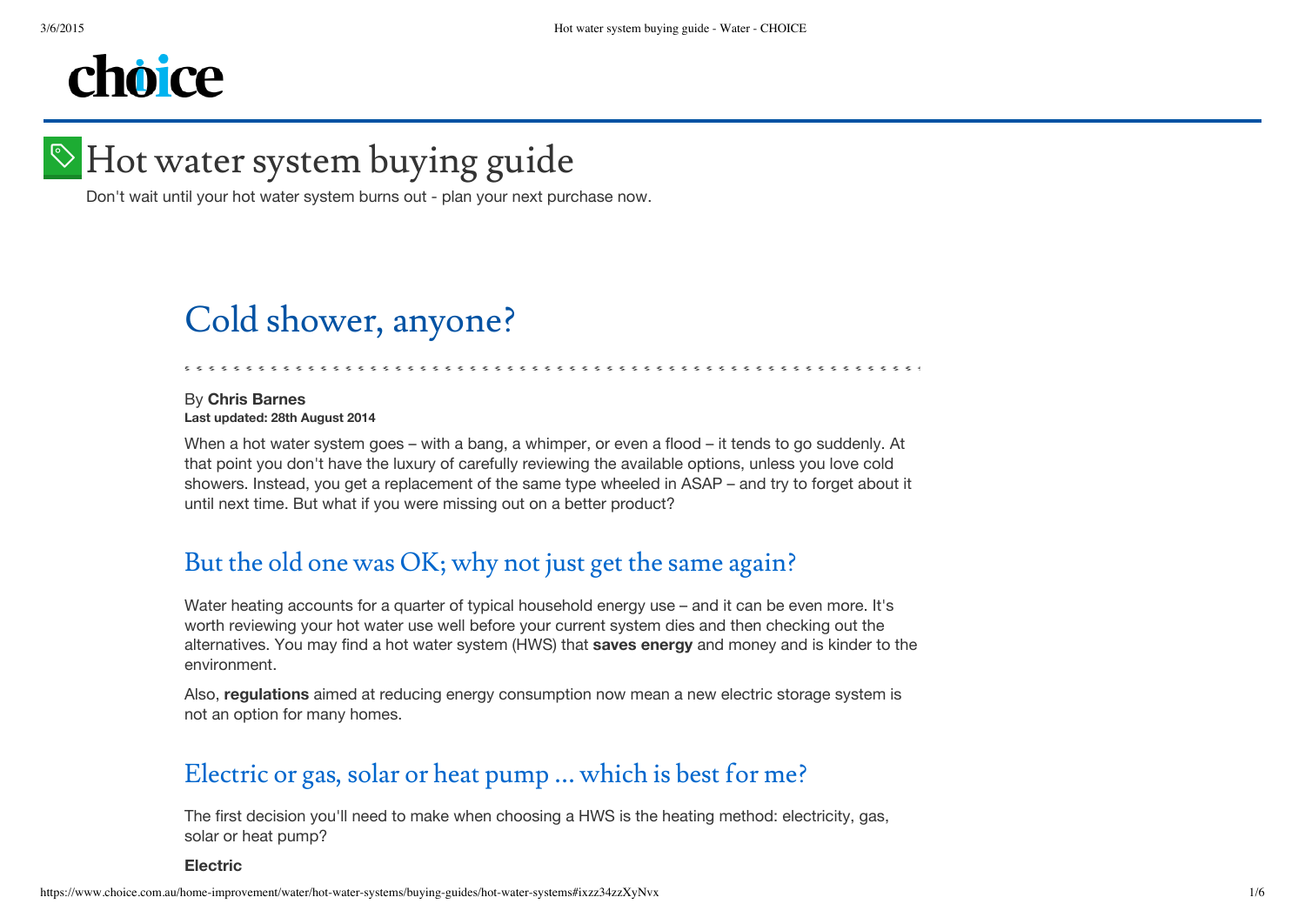# choice

# $\blacktriangleright$  Hot water system buying guide

Don't wait until your hot water system burns out - plan your next purchase now.

## Cold shower, anyone?

#### By **Chris [Barnes](#page-4-0) Last updated: 28th August 2014**

When a hot water system goes – with a bang, a whimper, or even a flood – it tends to go suddenly. At that point you don't have the luxury of carefully reviewing the available options, unless you love cold showers. Instead, you get a replacement of the same type wheeled in ASAP – and try to forget about it until next time. But what if you were missing out on a better product?

## But the old one was OK; why not just get the same again?

Water heating accounts for a quarter of typical household energy use – and it can be even more. It's worth reviewing your hot water use well before your current system dies and then checking out the alternatives. You may find a hot water system (HWS) that **saves [energy](https://www.choice.com.au/shopping/shopping-for-services/utilities/articles/shopping-around-for-a-new-energy-deal)** and money and is kinder to the environment.

Also, **[regulations](http://industry.gov.au/Energy/EnergyEfficiency/Pages/default.aspx)** aimed at reducing energy consumption now mean a new electric storage system is not an option for many homes.

### Electric or gas, solar or heat pump … which is best for me?

The first decision you'll need to make when choosing a HWS is the heating method: electricity, gas, solar or heat pump?

**Electric**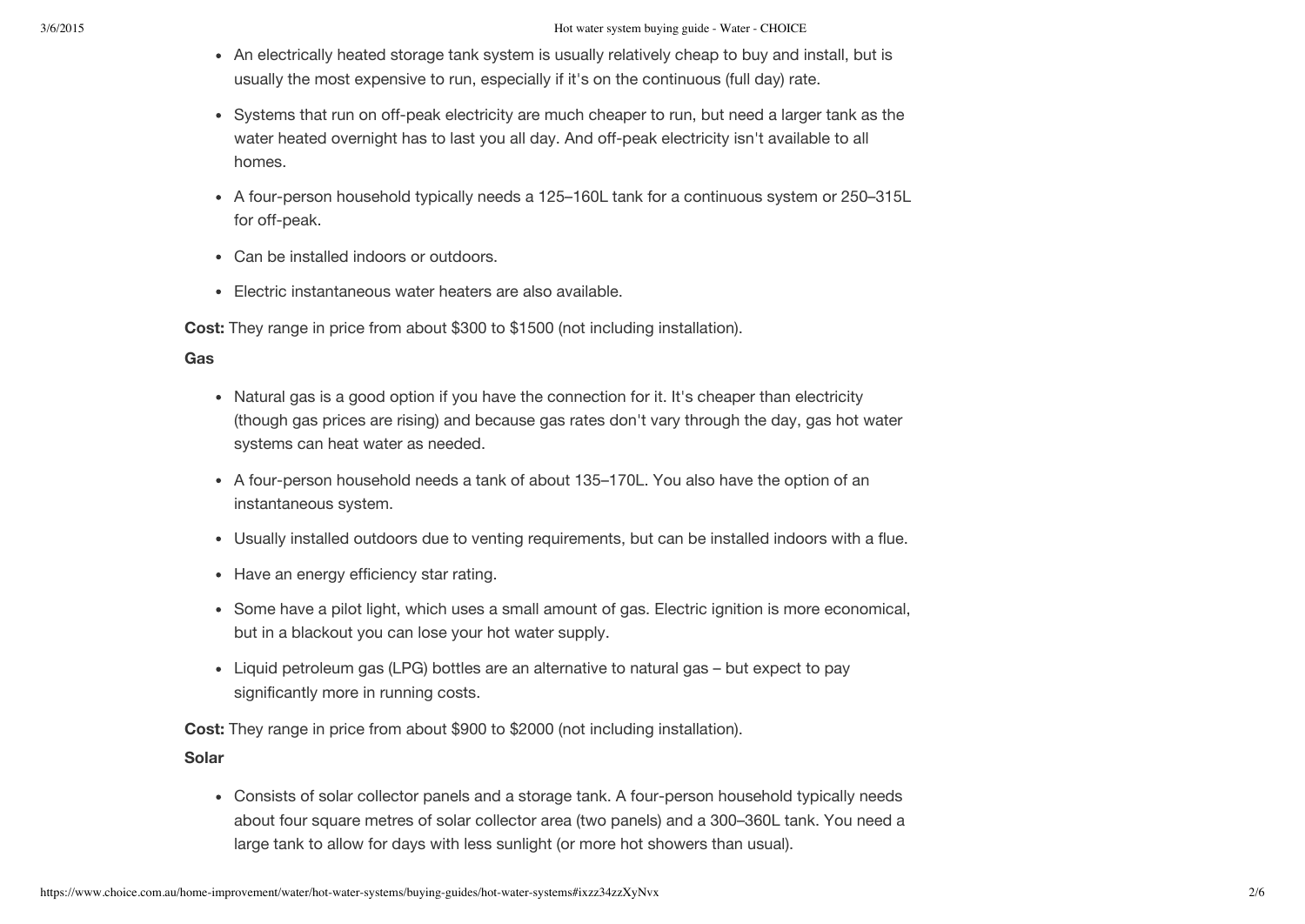- An electrically heated storage tank system is usually relatively cheap to buy and install, but is usually the most expensive to run, especially if it's on the continuous (full day) rate.
- Systems that run on off-peak electricity are much cheaper to run, but need a larger tank as the water heated overnight has to last you all day. And off-peak electricity isn't available to all homes.
- A four-person household typically needs a 125–160L tank for a continuous system or 250–315L for off-peak.
- Can be installed indoors or outdoors.
- Electric instantaneous water heaters are also available.

**Cost:** They range in price from about \$300 to \$1500 (not including installation).

#### **Gas**

- Natural gas is a good option if you have the connection for it. It's cheaper than electricity (though gas prices are rising) and because gas rates don't vary through the day, gas hot water systems can heat water as needed.
- A four-person household needs a tank of about 135–170L. You also have the option of an instantaneous system.
- Usually installed outdoors due to venting requirements, but can be installed indoors with a flue.
- Have an energy efficiency star rating.
- Some have a pilot light, which uses a small amount of gas. Electric ignition is more economical, but in a blackout you can lose your hot water supply.
- Liquid petroleum gas (LPG) bottles are an alternative to natural gas but expect to pay significantly more in running costs.

**Cost:** They range in price from about \$900 to \$2000 (not including installation).

#### **Solar**

Consists of solar collector panels and a storage tank. A four-person household typically needs about four square metres of solar collector area (two panels) and a 300–360L tank. You need a large tank to allow for days with less sunlight (or more hot showers than usual).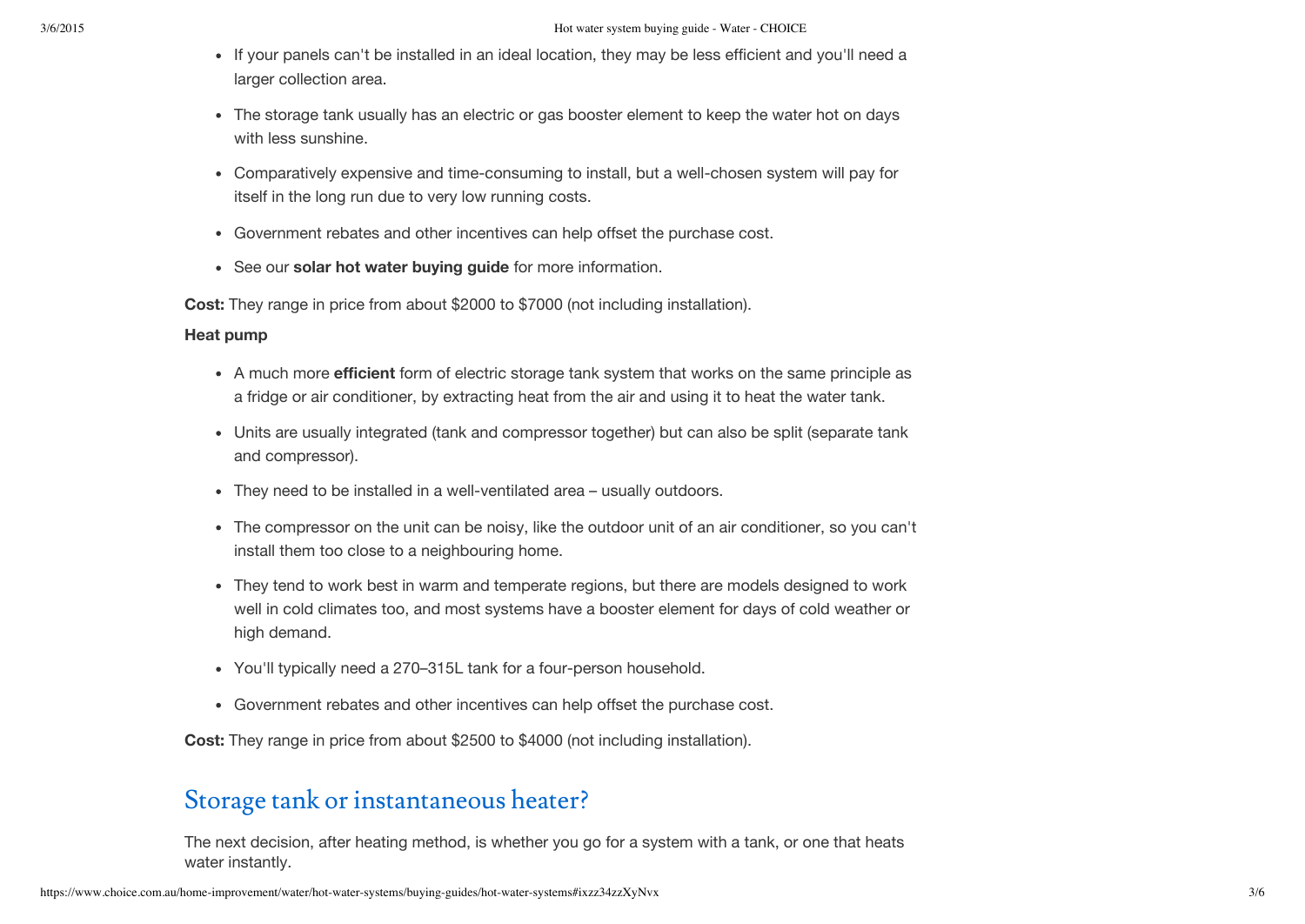- If your panels can't be installed in an ideal location, they may be less efficient and you'll need a larger collection area.
- The storage tank usually has an electric or gas booster element to keep the water hot on days with less sunshine.
- Comparatively expensive and time-consuming to install, but a well-chosen system will pay for itself in the long run due to very low running costs.
- Government rebates and other incentives can help offset the purchase cost.
- See our **solar hot water [buying](https://www.choice.com.au/home-improvement/energy-saving/solar/buying-guides/solar-hot-water-systems) guide** for more information.

**Cost:** They range in price from about \$2000 to \$7000 (not including installation).

#### **Heat pump**

- A much more **[efficient](https://www.choice.com.au/home-improvement/water/saving-water/articles/water-efficiency-label)** form of electric storage tank system that works on the same principle as a fridge or air conditioner, by extracting heat from the air and using it to heat the water tank.
- Units are usually integrated (tank and compressor together) but can also be split (separate tank and compressor).
- They need to be installed in a well-ventilated area usually outdoors.
- The compressor on the unit can be noisy, like the outdoor unit of an air conditioner, so you can't install them too close to a neighbouring home.
- They tend to work best in warm and temperate regions, but there are models designed to work well in cold climates too, and most systems have a booster element for days of cold weather or high demand.
- You'll typically need a 270–315L tank for a four-person household.
- Government rebates and other incentives can help offset the purchase cost.

**Cost:** They range in price from about \$2500 to \$4000 (not including installation).

## Storage tank or instantaneous heater?

The next decision, after heating method, is whether you go for a system with a tank, or one that heats water instantly.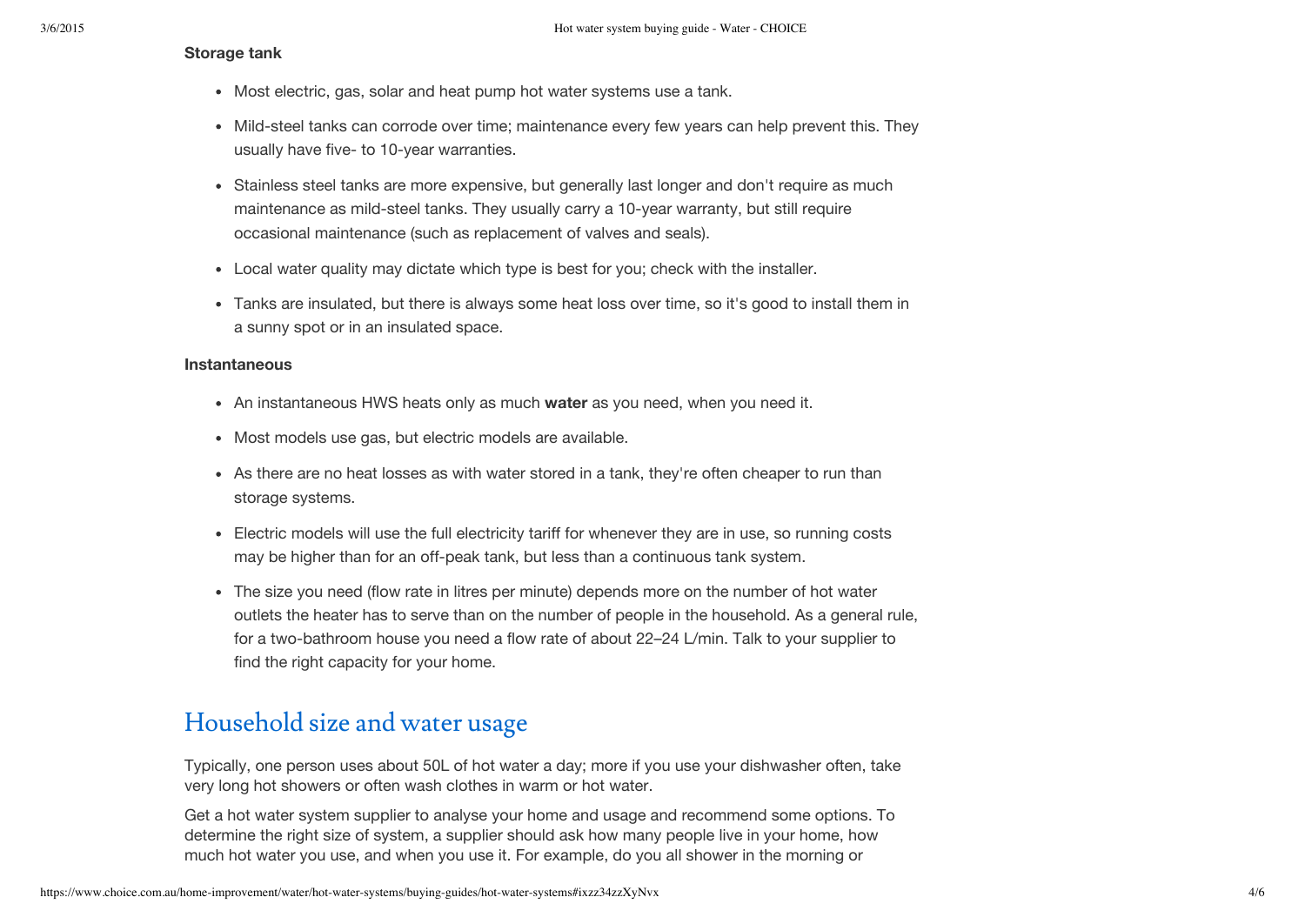#### **Storage tank**

- Most electric, gas, solar and heat pump hot water systems use a tank.
- Mild-steel tanks can corrode over time; maintenance every few years can help prevent this. They usually have five- to 10-year warranties.
- Stainless steel tanks are more expensive, but generally last longer and don't require as much maintenance as mild-steel tanks. They usually carry a 10-year warranty, but still require occasional maintenance (such as replacement of valves and seals).
- Local water quality may dictate which type is best for you; check with the installer.
- Tanks are insulated, but there is always some heat loss over time, so it's good to install them in a sunny spot or in an insulated space.

#### **Instantaneous**

- An instantaneous HWS heats only as much **[water](https://www.choice.com.au/home-improvement/water/saving-water/articles/water-saving-home-guide)** as you need, when you need it.
- Most models use gas, but electric models are available.
- As there are no heat losses as with water stored in a tank, they're often cheaper to run than storage systems.
- Electric models will use the full electricity tariff for whenever they are in use, so running costs may be higher than for an off-peak tank, but less than a continuous tank system.
- The size you need (flow rate in litres per minute) depends more on the number of hot water outlets the heater has to serve than on the number of people in the household. As a general rule, for a two-bathroom house you need a flow rate of about 22–24 L/min. Talk to your supplier to find the right capacity for your home.

## Household size and water usage

Typically, one person uses about 50L of hot water a day; more if you use your dishwasher often, take very long hot showers or often wash clothes in warm or hot water.

Get a hot water system supplier to analyse your home and usage and recommend some options. To determine the right size of system, a supplier should ask how many people live in your home, how much hot water you use, and when you use it. For example, do you all shower in the morning or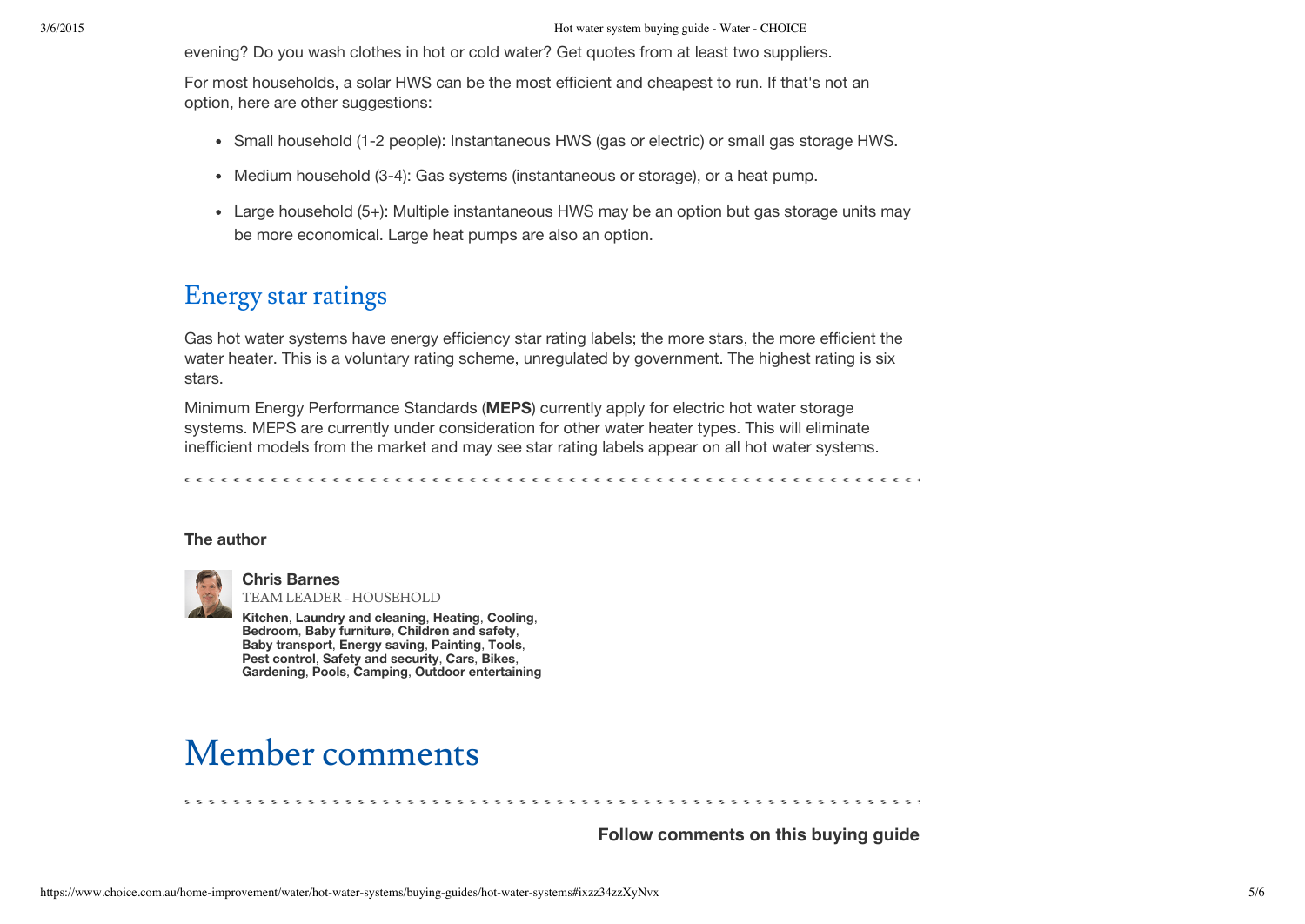evening? Do you wash clothes in hot or cold water? Get quotes from at least two suppliers.

For most households, a solar HWS can be the most efficient and cheapest to run. If that's not an option, here are other suggestions:

- Small household (1-2 people): Instantaneous HWS (gas or electric) or small gas storage HWS.
- Medium household (3-4): Gas systems (instantaneous or storage), or a heat pump.
- Large household (5+): Multiple instantaneous HWS may be an option but gas storage units may be more economical. Large heat pumps are also an option.

### Energy star ratings

Gas hot water systems have energy efficiency star rating labels; the more stars, the more efficient the water heater. This is a voluntary rating scheme, unregulated by government. The highest rating is six stars.

Minimum Energy Performance Standards (**[MEPS](http://www.energyrating.gov.au/about/other-programs/meps/)**) currently apply for electric hot water storage systems. MEPS are currently under consideration for other water heater types. This will eliminate inefficient models from the market and may see star rating labels appear on all hot water systems.

#### <span id="page-4-0"></span>**The author**



**Chris [Barnes](https://www.choice.com.au/authors/chris-barnes)** TEAM LEADER - HOUSEHOLD

**[Kitchen](https://www.choice.com.au/home-and-living/kitchen)**, **Laundry and [cleaning](https://www.choice.com.au/home-and-living/laundry-and-cleaning)**, **[Heating](https://www.choice.com.au/home-and-living/heating)**, **[Cooling](https://www.choice.com.au/home-and-living/cooling)**, **[Bedroom](https://www.choice.com.au/home-and-living/bedroom)**, **Baby [furniture](https://www.choice.com.au/babies-and-kids/baby-furniture)**, **[Children](https://www.choice.com.au/babies-and-kids/children-and-safety) and safety**, **Baby [transport](https://www.choice.com.au/babies-and-kids/baby-transport)**, **[Energy](https://www.choice.com.au/home-improvement/energy-saving) saving**, **[Painting](https://www.choice.com.au/home-improvement/painting)**, **[Tools](https://www.choice.com.au/home-improvement/tools)**, **Pest [control](https://www.choice.com.au/home-improvement/pest-control)**, **Safety and [security](https://www.choice.com.au/home-improvement/safety-and-security)**, **[Cars](https://www.choice.com.au/transport/cars)**, **[Bikes](https://www.choice.com.au/transport/bikes)**, **[Gardening](https://www.choice.com.au/outdoor/gardening)**, **[Pools](https://www.choice.com.au/outdoor/pools)**, **[Camping](https://www.choice.com.au/outdoor/camping)**, **Outdoor [entertaining](https://www.choice.com.au/outdoor/outdoor-entertaining)**

## Member comments

**Follow [comments](javascript://) on this buying guide**